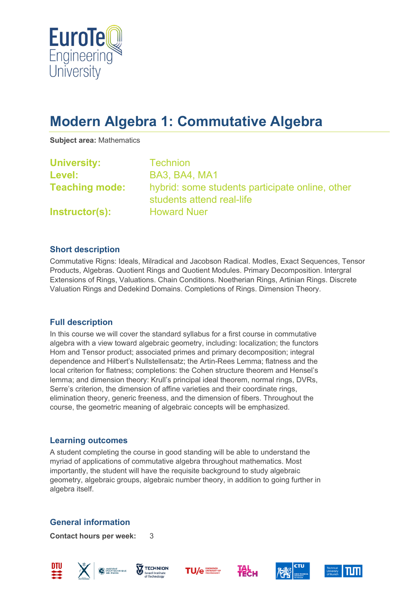

# **Modern Algebra 1: Commutative Algebra**

**Subject area:** Mathematics

| <b>University:</b>    | <b>Technion</b>                                                              |
|-----------------------|------------------------------------------------------------------------------|
| Level:                | <b>BA3, BA4, MA1</b>                                                         |
| <b>Teaching mode:</b> | hybrid: some students participate online, other<br>students attend real-life |
| Instructor(s):        | <b>Howard Nuer</b>                                                           |

#### **Short description**

Commutative Rigns: Ideals, Milradical and Jacobson Radical. Modles, Exact Sequences, Tensor Products, Algebras. Quotient Rings and Quotient Modules. Primary Decomposition. Intergral Extensions of Rings, Valuations. Chain Conditions. Noetherian Rings, Artinian Rings. Discrete Valuation Rings and Dedekind Domains. Completions of Rings. Dimension Theory.

## **Full description**

In this course we will cover the standard syllabus for a first course in commutative algebra with a view toward algebraic geometry, including: localization; the functors Hom and Tensor product; associated primes and primary decomposition; integral dependence and Hilbert's Nullstellensatz; the Artin-Rees Lemma; flatness and the local criterion for flatness; completions: the Cohen structure theorem and Hensel's lemma; and dimension theory: Krull's principal ideal theorem, normal rings, DVRs, Serre's criterion, the dimension of affine varieties and their coordinate rings, elimination theory, generic freeness, and the dimension of fibers. Throughout the course, the geometric meaning of algebraic concepts will be emphasized.

#### **Learning outcomes**

A student completing the course in good standing will be able to understand the myriad of applications of commutative algebra throughout mathematics. Most importantly, the student will have the requisite background to study algebraic geometry, algebraic groups, algebraic number theory, in addition to going further in algebra itself.

## **General information**

**Contact hours per week:** 3













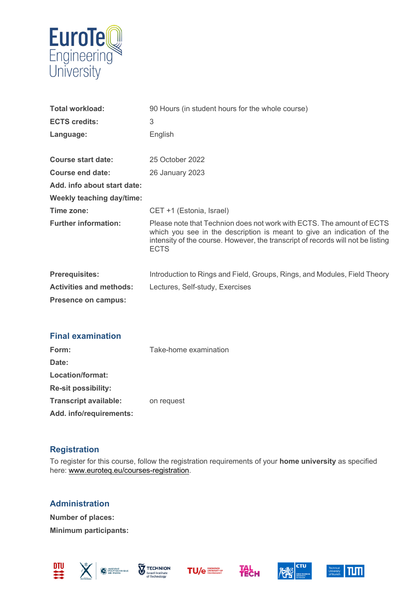

| <b>Total workload:</b>           | 90 Hours (in student hours for the whole course)                                                                                                                                                                                                  |
|----------------------------------|---------------------------------------------------------------------------------------------------------------------------------------------------------------------------------------------------------------------------------------------------|
| <b>ECTS credits:</b>             | 3                                                                                                                                                                                                                                                 |
| Language:                        | English                                                                                                                                                                                                                                           |
|                                  |                                                                                                                                                                                                                                                   |
| <b>Course start date:</b>        | 25 October 2022                                                                                                                                                                                                                                   |
| Course end date:                 | 26 January 2023                                                                                                                                                                                                                                   |
| Add. info about start date:      |                                                                                                                                                                                                                                                   |
| <b>Weekly teaching day/time:</b> |                                                                                                                                                                                                                                                   |
| Time zone:                       | CET +1 (Estonia, Israel)                                                                                                                                                                                                                          |
| <b>Further information:</b>      | Please note that Technion does not work with ECTS. The amount of ECTS<br>which you see in the description is meant to give an indication of the<br>intensity of the course. However, the transcript of records will not be listing<br><b>ECTS</b> |
| <b>Prerequisites:</b>            | Introduction to Rings and Field, Groups, Rings, and Modules, Field Theory                                                                                                                                                                         |
| <b>Activities and methods:</b>   | Lectures, Self-study, Exercises                                                                                                                                                                                                                   |
| Presence on campus:              |                                                                                                                                                                                                                                                   |

| <b>Final examination</b>     |                       |
|------------------------------|-----------------------|
| Form:                        | Take-home examination |
| Date:                        |                       |
| Location/format:             |                       |
| <b>Re-sit possibility:</b>   |                       |
| <b>Transcript available:</b> | on request            |
| Add. info/requirements:      |                       |

# **Registration**

To register for this course, follow the registration requirements of your **home university** as specified here: [www.euroteq.eu/courses-registration.](http://www.euroteq.eu/courses-registration)

**Administration Number of places: Minimum participants:**